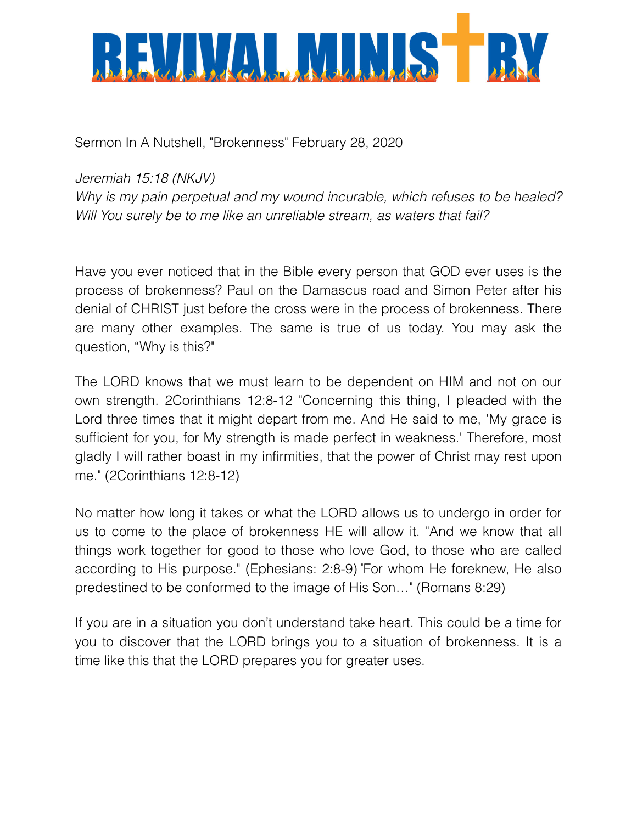

Sermon In A Nutshell, "Brokenness" February 28, 2020

*Jeremiah 15:18 (NKJV)* 

*Why is my pain perpetual and my wound incurable, which refuses to be healed? Will You surely be to me like an unreliable stream, as waters that fail?*

Have you ever noticed that in the Bible every person that GOD ever uses is the process of brokenness? Paul on the Damascus road and Simon Peter after his denial of CHRIST just before the cross were in the process of brokenness. There are many other examples. The same is true of us today. You may ask the question, "Why is this?"

The LORD knows that we must learn to be dependent on HIM and not on our own strength. 2Corinthians 12:8-12 "Concerning this thing, I pleaded with the Lord three times that it might depart from me. And He said to me, 'My grace is sufficient for you, for My strength is made perfect in weakness.' Therefore, most gladly I will rather boast in my infirmities, that the power of Christ may rest upon me." (2Corinthians 12:8-12)

No matter how long it takes or what the LORD allows us to undergo in order for us to come to the place of brokenness HE will allow it. "And we know that all things work together for good to those who love God, to those who are called according to His purpose." (Ephesians: 2:8-9) " For whom He foreknew, He also predestined to be conformed to the image of His Son…" (Romans 8:29)

If you are in a situation you don't understand take heart. This could be a time for you to discover that the LORD brings you to a situation of brokenness. It is a time like this that the LORD prepares you for greater uses.